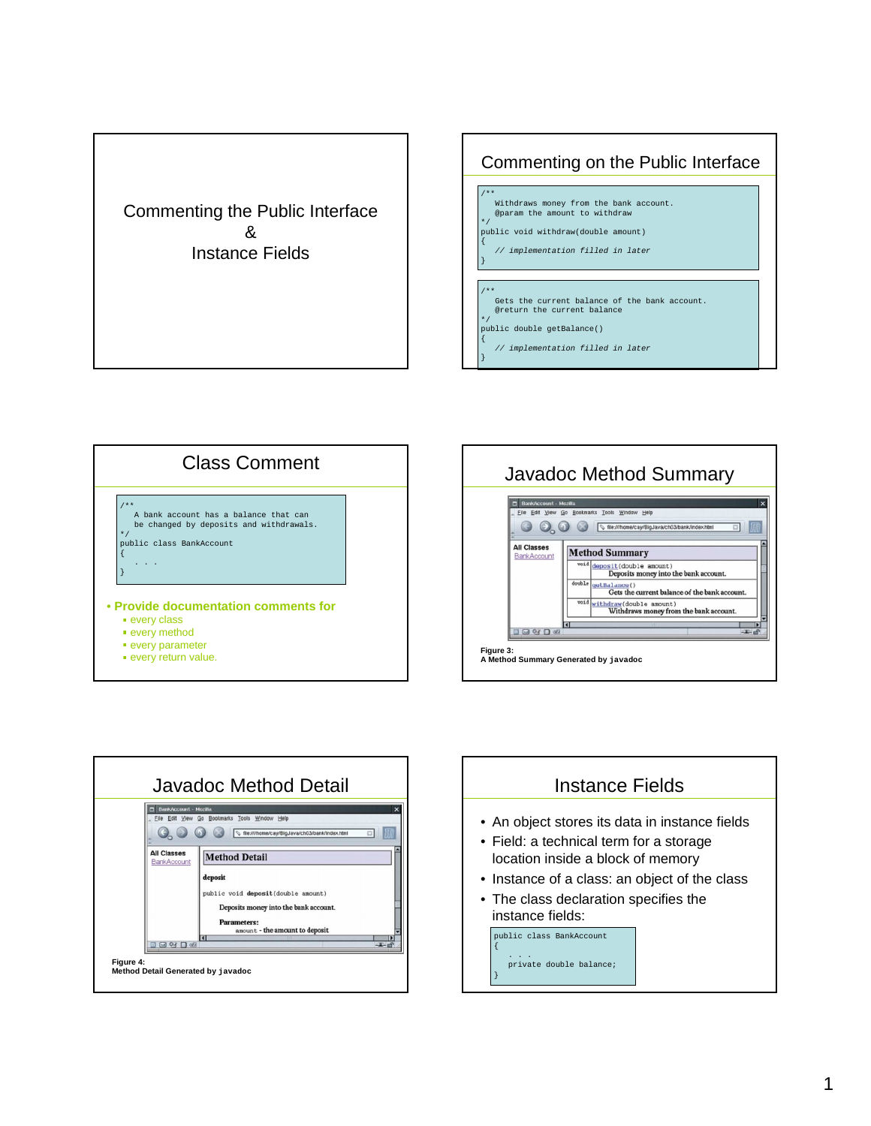## Commenting the Public Interface & Instance Fields

## Commenting on the Public Interface

- /\*\* Withdraws money from the bank account. @param the amount to withdraw
- \*/ public void withdraw(double amount)
- // implementation filled in later
- /\*\* Gets the current balance of the bank account. @return the current balance
- \*/ public double getBalance() {

{

}

// implementation filled in later }